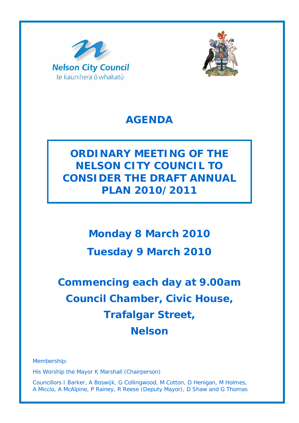



# **AGENDA**

**ORDINARY MEETING OF THE NELSON CITY COUNCIL TO CONSIDER THE DRAFT ANNUAL PLAN 2010/2011** 

> **Monday 8 March 2010 Tuesday 9 March 2010**

# **Commencing each day at 9.00am Council Chamber, Civic House, Trafalgar Street, Nelson**

Membership:

His Worship the Mayor K Marshall (Chairperson)

Councillors I Barker, A Boswijk, G Collingwood, M Cotton, D Henigan, M Holmes, A Miccio, A McAlpine, P Rainey, R Reese (Deputy Mayor), D Shaw and G Thomas